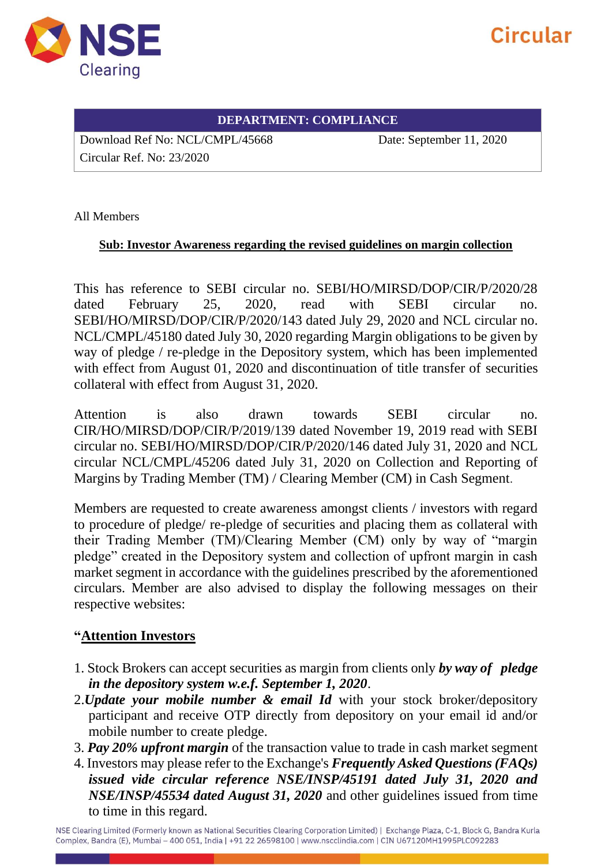

# Circular

#### **DEPARTMENT: COMPLIANCE**

Download Ref No: NCL/CMPL/45668 Date: September 11, 2020

Circular Ref. No: 23/2020

All Members

#### **Sub: Investor Awareness regarding the revised guidelines on margin collection**

This has reference to SEBI circular no. SEBI/HO/MIRSD/DOP/CIR/P/2020/28 dated February 25, 2020, read with SEBI circular no. SEBI/HO/MIRSD/DOP/CIR/P/2020/143 dated July 29, 2020 and NCL circular no. NCL/CMPL/45180 dated July 30, 2020 regarding Margin obligations to be given by way of pledge / re-pledge in the Depository system, which has been implemented with effect from August 01, 2020 and discontinuation of title transfer of securities collateral with effect from August 31, 2020.

Attention is also drawn towards SEBI circular no. CIR/HO/MIRSD/DOP/CIR/P/2019/139 dated November 19, 2019 read with SEBI circular no. SEBI/HO/MIRSD/DOP/CIR/P/2020/146 dated July 31, 2020 and NCL circular NCL/CMPL/45206 dated July 31, 2020 on Collection and Reporting of Margins by Trading Member (TM) / Clearing Member (CM) in Cash Segment.

Members are requested to create awareness amongst clients / investors with regard to procedure of pledge/ re-pledge of securities and placing them as collateral with their Trading Member (TM)/Clearing Member (CM) only by way of "margin pledge" created in the Depository system and collection of upfront margin in cash market segment in accordance with the guidelines prescribed by the aforementioned circulars. Member are also advised to display the following messages on their respective websites:

### **"Attention Investors**

- 1. Stock Brokers can accept securities as margin from clients only *by way of pledge in the depository system w.e.f. September 1, 2020*.
- 2.*Update your mobile number & email Id* with your stock broker/depository participant and receive OTP directly from depository on your email id and/or mobile number to create pledge.
- 3. *Pay 20% upfront margin* of the transaction value to trade in cash market segment
- 4. Investors may please refer to the Exchange's *Frequently Asked Questions (FAQs) issued vide circular reference NSE/INSP/45191 dated July 31, 2020 and NSE/INSP/45534 dated August 31, 2020* and other guidelines issued from time to time in this regard.

NSE Clearing Limited (Formerly known as National Securities Clearing Corporation Limited) | Exchange Plaza, C-1, Block G, Bandra Kurla Complex, Bandra (E), Mumbai - 400 051, India | +91 22 26598100 | www.nscclindia.com | CIN U67120MH1995PLC092283